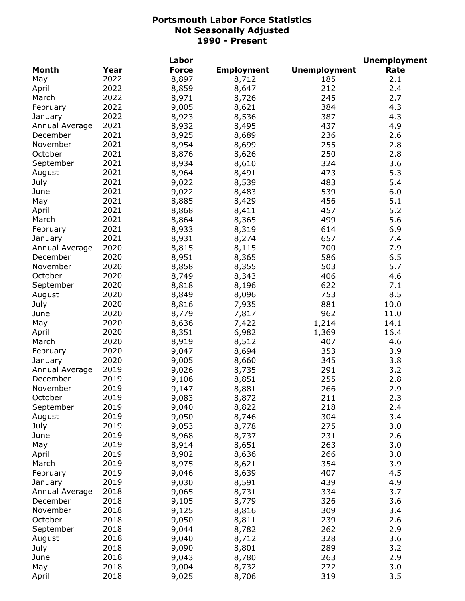|                |      | Labor        |                   |                     | <b>Unemployment</b> |
|----------------|------|--------------|-------------------|---------------------|---------------------|
| Month          | Year | <b>Force</b> | <b>Employment</b> | <b>Unemployment</b> | Rate                |
| May            | 2022 | 8,897        | 8,712             | 185                 | 2.1                 |
| April          | 2022 | 8,859        | 8,647             | 212                 | 2.4                 |
| March          | 2022 | 8,971        | 8,726             | 245                 | 2.7                 |
| February       | 2022 | 9,005        | 8,621             | 384                 | 4.3                 |
| January        | 2022 | 8,923        | 8,536             | 387                 | 4.3                 |
| Annual Average | 2021 | 8,932        | 8,495             | 437                 | 4.9                 |
| December       | 2021 | 8,925        | 8,689             | 236                 | 2.6                 |
| November       | 2021 | 8,954        | 8,699             | 255                 | 2.8                 |
| October        | 2021 | 8,876        | 8,626             | 250                 | 2.8                 |
| September      | 2021 | 8,934        | 8,610             | 324                 | 3.6                 |
| August         | 2021 | 8,964        | 8,491             | 473                 | 5.3                 |
| July           | 2021 | 9,022        | 8,539             | 483                 | 5.4                 |
| June           | 2021 |              | 8,483             | 539                 | 6.0                 |
|                | 2021 | 9,022        |                   | 456                 | 5.1                 |
| May            | 2021 | 8,885        | 8,429             |                     |                     |
| April          |      | 8,868        | 8,411             | 457                 | 5.2                 |
| March          | 2021 | 8,864        | 8,365             | 499                 | 5.6                 |
| February       | 2021 | 8,933        | 8,319             | 614                 | 6.9                 |
| January        | 2021 | 8,931        | 8,274             | 657                 | 7.4                 |
| Annual Average | 2020 | 8,815        | 8,115             | 700                 | 7.9                 |
| December       | 2020 | 8,951        | 8,365             | 586                 | 6.5                 |
| November       | 2020 | 8,858        | 8,355             | 503                 | 5.7                 |
| October        | 2020 | 8,749        | 8,343             | 406                 | 4.6                 |
| September      | 2020 | 8,818        | 8,196             | 622                 | 7.1                 |
| August         | 2020 | 8,849        | 8,096             | 753                 | 8.5                 |
| July           | 2020 | 8,816        | 7,935             | 881                 | 10.0                |
| June           | 2020 | 8,779        | 7,817             | 962                 | 11.0                |
| May            | 2020 | 8,636        | 7,422             | 1,214               | 14.1                |
| April          | 2020 | 8,351        | 6,982             | 1,369               | 16.4                |
| March          | 2020 | 8,919        | 8,512             | 407                 | 4.6                 |
| February       | 2020 | 9,047        | 8,694             | 353                 | 3.9                 |
| January        | 2020 | 9,005        | 8,660             | 345                 | 3.8                 |
| Annual Average | 2019 | 9,026        | 8,735             | 291                 | 3.2                 |
| December       | 2019 | 9,106        | 8,851             | 255                 | 2.8                 |
| November       | 2019 | 9,147        | 8,881             | 266                 | 2.9                 |
| October        | 2019 | 9,083        | 8,872             | 211                 | 2.3                 |
| September      | 2019 | 9,040        | 8,822             | 218                 | 2.4                 |
| August         | 2019 | 9,050        | 8,746             | 304                 | 3.4                 |
| July           | 2019 | 9,053        | 8,778             | 275                 | 3.0                 |
| June           | 2019 | 8,968        | 8,737             | 231                 | 2.6                 |
| May            | 2019 | 8,914        | 8,651             | 263                 | 3.0                 |
| April          | 2019 | 8,902        | 8,636             | 266                 | 3.0                 |
| March          | 2019 | 8,975        | 8,621             | 354                 | 3.9                 |
| February       | 2019 | 9,046        | 8,639             | 407                 | 4.5                 |
| January        | 2019 | 9,030        | 8,591             | 439                 | 4.9                 |
| Annual Average | 2018 | 9,065        |                   | 334                 | 3.7                 |
| December       | 2018 |              | 8,731             | 326                 |                     |
|                |      | 9,105        | 8,779             |                     | 3.6                 |
| November       | 2018 | 9,125        | 8,816             | 309                 | 3.4                 |
| October        | 2018 | 9,050        | 8,811             | 239                 | 2.6                 |
| September      | 2018 | 9,044        | 8,782             | 262                 | 2.9                 |
| August         | 2018 | 9,040        | 8,712             | 328                 | 3.6                 |
| July           | 2018 | 9,090        | 8,801             | 289                 | 3.2                 |
| June           | 2018 | 9,043        | 8,780             | 263                 | 2.9                 |
| May            | 2018 | 9,004        | 8,732             | 272                 | 3.0                 |
| April          | 2018 | 9,025        | 8,706             | 319                 | 3.5                 |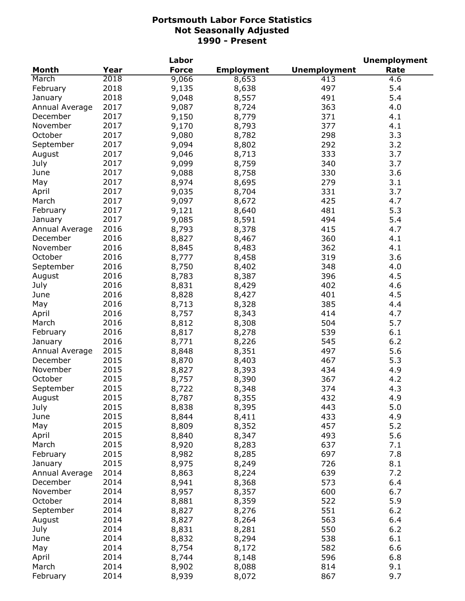|                |      | Labor        |                   |                     | <b>Unemployment</b> |
|----------------|------|--------------|-------------------|---------------------|---------------------|
| <b>Month</b>   | Year | <b>Force</b> | <b>Employment</b> | <b>Unemployment</b> | Rate                |
| March          | 2018 | 9,066        | 8,653             | 413                 | 4.6                 |
| February       | 2018 | 9,135        | 8,638             | 497                 | 5.4                 |
| January        | 2018 | 9,048        | 8,557             | 491                 | 5.4                 |
| Annual Average | 2017 | 9,087        | 8,724             | 363                 | 4.0                 |
| December       | 2017 | 9,150        | 8,779             | 371                 | 4.1                 |
| November       | 2017 | 9,170        | 8,793             | 377                 | 4.1                 |
| October        | 2017 | 9,080        | 8,782             | 298                 | 3.3                 |
| September      | 2017 | 9,094        | 8,802             | 292                 | 3.2                 |
| August         | 2017 | 9,046        | 8,713             | 333                 | 3.7                 |
| July           | 2017 | 9,099        | 8,759             | 340                 | 3.7                 |
| June           | 2017 | 9,088        | 8,758             | 330                 | 3.6                 |
| May            | 2017 | 8,974        | 8,695             | 279                 | 3.1                 |
| April          | 2017 | 9,035        | 8,704             | 331                 | 3.7                 |
| March          | 2017 | 9,097        | 8,672             | 425                 | 4.7                 |
| February       | 2017 | 9,121        | 8,640             | 481                 | 5.3                 |
| January        | 2017 | 9,085        | 8,591             | 494                 | 5.4                 |
| Annual Average | 2016 | 8,793        | 8,378             | 415                 | 4.7                 |
| December       | 2016 | 8,827        | 8,467             | 360                 | 4.1                 |
| November       | 2016 | 8,845        | 8,483             | 362                 | 4.1                 |
| October        | 2016 | 8,777        | 8,458             | 319                 | 3.6                 |
| September      | 2016 | 8,750        | 8,402             | 348                 | 4.0                 |
| August         | 2016 | 8,783        | 8,387             | 396                 | 4.5                 |
| July           | 2016 | 8,831        | 8,429             | 402                 | 4.6                 |
| June           | 2016 | 8,828        | 8,427             | 401                 | 4.5                 |
| May            | 2016 | 8,713        | 8,328             | 385                 | 4.4                 |
| April          | 2016 | 8,757        | 8,343             | 414                 | 4.7                 |
| March          | 2016 | 8,812        | 8,308             | 504                 | 5.7                 |
| February       | 2016 | 8,817        | 8,278             | 539                 | 6.1                 |
| January        | 2016 | 8,771        | 8,226             | 545                 | 6.2                 |
| Annual Average | 2015 | 8,848        | 8,351             | 497                 | 5.6                 |
| December       | 2015 | 8,870        | 8,403             | 467                 | 5.3                 |
| November       | 2015 | 8,827        | 8,393             | 434                 | 4.9                 |
| October        | 2015 | 8,757        | 8,390             | 367                 | 4.2                 |
| September      | 2015 | 8,722        | 8,348             | 374                 | 4.3                 |
| August         | 2015 | 8,787        |                   | 432                 | 4.9                 |
| July           | 2015 | 8,838        | 8,355<br>8,395    | 443                 | 5.0                 |
| June           | 2015 | 8,844        | 8,411             | 433                 | 4.9                 |
| May            | 2015 | 8,809        | 8,352             | 457                 | 5.2                 |
| April          | 2015 | 8,840        | 8,347             | 493                 | 5.6                 |
| March          | 2015 | 8,920        | 8,283             | 637                 | 7.1                 |
| February       | 2015 | 8,982        | 8,285             | 697                 | 7.8                 |
| January        | 2015 | 8,975        | 8,249             | 726                 | 8.1                 |
| Annual Average | 2014 | 8,863        | 8,224             | 639                 | 7.2                 |
| December       | 2014 | 8,941        | 8,368             | 573                 | 6.4                 |
| November       | 2014 | 8,957        | 8,357             | 600                 | 6.7                 |
| October        | 2014 | 8,881        | 8,359             | 522                 | 5.9                 |
| September      | 2014 | 8,827        | 8,276             | 551                 | $6.2$               |
| August         | 2014 | 8,827        | 8,264             | 563                 | 6.4                 |
| July           | 2014 | 8,831        | 8,281             | 550                 | 6.2                 |
| June           | 2014 | 8,832        | 8,294             | 538                 | 6.1                 |
| May            | 2014 | 8,754        | 8,172             | 582                 | 6.6                 |
| April          | 2014 | 8,744        | 8,148             | 596                 | 6.8                 |
| March          | 2014 | 8,902        | 8,088             | 814                 | 9.1                 |
| February       | 2014 | 8,939        | 8,072             | 867                 | 9.7                 |
|                |      |              |                   |                     |                     |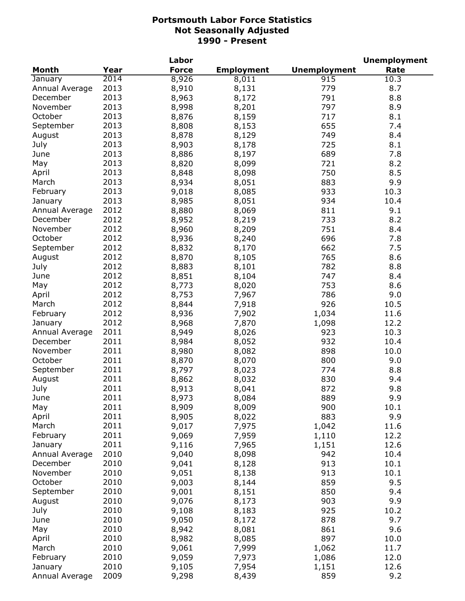|                |      | Labor        |                   |                     | <b>Unemployment</b> |
|----------------|------|--------------|-------------------|---------------------|---------------------|
| <b>Month</b>   | Year | <b>Force</b> | <b>Employment</b> | <b>Unemployment</b> | Rate                |
| January        | 2014 | 8,926        | 8,011             | 915                 | 10.3                |
| Annual Average | 2013 | 8,910        | 8,131             | 779                 | 8.7                 |
| December       | 2013 | 8,963        | 8,172             | 791                 | 8.8                 |
| November       | 2013 | 8,998        | 8,201             | 797                 | 8.9                 |
| October        | 2013 | 8,876        | 8,159             | 717                 | 8.1                 |
| September      | 2013 | 8,808        | 8,153             | 655                 | 7.4                 |
| August         | 2013 | 8,878        | 8,129             | 749                 | 8.4                 |
| July           | 2013 | 8,903        | 8,178             | 725                 | 8.1                 |
| June           | 2013 | 8,886        | 8,197             | 689                 | 7.8                 |
| May            | 2013 | 8,820        | 8,099             | 721                 | 8.2                 |
| April          | 2013 | 8,848        | 8,098             | 750                 | 8.5                 |
| March          | 2013 | 8,934        | 8,051             | 883                 | 9.9                 |
| February       | 2013 | 9,018        | 8,085             | 933                 | 10.3                |
| January        | 2013 | 8,985        | 8,051             | 934                 | 10.4                |
| Annual Average | 2012 | 8,880        | 8,069             | 811                 | 9.1                 |
| December       | 2012 | 8,952        | 8,219             | 733                 | 8.2                 |
| November       | 2012 | 8,960        | 8,209             | 751                 | 8.4                 |
| October        | 2012 | 8,936        | 8,240             | 696                 | 7.8                 |
| September      | 2012 | 8,832        | 8,170             | 662                 | 7.5                 |
| August         | 2012 | 8,870        | 8,105             | 765                 | 8.6                 |
| July           | 2012 | 8,883        | 8,101             | 782                 | 8.8                 |
| June           | 2012 | 8,851        | 8,104             | 747                 | 8.4                 |
| May            | 2012 | 8,773        | 8,020             | 753                 | 8.6                 |
| April          | 2012 | 8,753        | 7,967             | 786                 | 9.0                 |
| March          | 2012 | 8,844        | 7,918             | 926                 | 10.5                |
| February       | 2012 | 8,936        | 7,902             | 1,034               | 11.6                |
| January        | 2012 | 8,968        | 7,870             | 1,098               | 12.2                |
| Annual Average | 2011 | 8,949        | 8,026             | 923                 | 10.3                |
| December       | 2011 | 8,984        | 8,052             | 932                 | 10.4                |
| November       | 2011 | 8,980        | 8,082             | 898                 | 10.0                |
| October        | 2011 | 8,870        | 8,070             | 800                 | 9.0                 |
| September      | 2011 | 8,797        | 8,023             | 774                 | 8.8                 |
| August         | 2011 | 8,862        | 8,032             | 830                 | 9.4                 |
| July           | 2011 | 8,913        | 8,041             | 872                 | 9.8                 |
| June           | 2011 | 8,973        | 8,084             | 889                 | 9.9                 |
| May            | 2011 | 8,909        | 8,009             | 900                 | 10.1                |
| April          | 2011 | 8,905        | 8,022             | 883                 | 9.9                 |
| March          | 2011 | 9,017        | 7,975             | 1,042               | 11.6                |
| February       | 2011 | 9,069        | 7,959             | 1,110               | 12.2                |
| January        | 2011 | 9,116        | 7,965             | 1,151               | 12.6                |
| Annual Average | 2010 | 9,040        | 8,098             | 942                 | 10.4                |
| December       | 2010 | 9,041        | 8,128             | 913                 | 10.1                |
| November       | 2010 | 9,051        | 8,138             | 913                 | 10.1                |
| October        | 2010 | 9,003        | 8,144             | 859                 | 9.5                 |
| September      | 2010 | 9,001        | 8,151             | 850                 | 9.4                 |
| August         | 2010 | 9,076        | 8,173             | 903                 | 9.9                 |
| July           | 2010 | 9,108        | 8,183             | 925                 | 10.2                |
| June           | 2010 | 9,050        | 8,172             | 878                 | 9.7                 |
| May            | 2010 | 8,942        | 8,081             | 861                 | 9.6                 |
| April          | 2010 | 8,982        | 8,085             | 897                 | 10.0                |
| March          | 2010 | 9,061        | 7,999             | 1,062               | 11.7                |
| February       | 2010 | 9,059        | 7,973             | 1,086               | 12.0                |
| January        | 2010 | 9,105        | 7,954             | 1,151               | 12.6                |
| Annual Average | 2009 | 9,298        | 8,439             | 859                 | 9.2                 |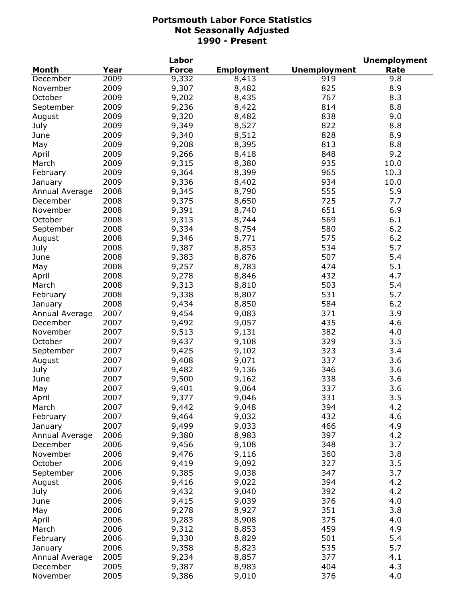|                |      | Labor        |                   |                     | <b>Unemployment</b> |
|----------------|------|--------------|-------------------|---------------------|---------------------|
| <b>Month</b>   | Year | <b>Force</b> | <b>Employment</b> | <b>Unemployment</b> | Rate                |
| December       | 2009 | 9,332        | 8,413             | 919                 | 9.8                 |
| November       | 2009 | 9,307        | 8,482             | 825                 | 8.9                 |
| October        | 2009 | 9,202        | 8,435             | 767                 | 8.3                 |
| September      | 2009 | 9,236        | 8,422             | 814                 | 8.8                 |
| August         | 2009 | 9,320        | 8,482             | 838                 | 9.0                 |
| July           | 2009 | 9,349        | 8,527             | 822                 | 8.8                 |
| June           | 2009 | 9,340        | 8,512             | 828                 | 8.9                 |
| May            | 2009 | 9,208        | 8,395             | 813                 | 8.8                 |
| April          | 2009 | 9,266        | 8,418             | 848                 | 9.2                 |
| March          | 2009 | 9,315        | 8,380             | 935                 | 10.0                |
| February       | 2009 | 9,364        | 8,399             | 965                 | 10.3                |
| January        | 2009 | 9,336        | 8,402             | 934                 | 10.0                |
| Annual Average | 2008 | 9,345        | 8,790             | 555                 | 5.9                 |
| December       | 2008 | 9,375        | 8,650             | 725                 | 7.7                 |
| November       | 2008 | 9,391        | 8,740             | 651                 | 6.9                 |
| October        | 2008 | 9,313        | 8,744             | 569                 | 6.1                 |
| September      | 2008 | 9,334        | 8,754             | 580                 | 6.2                 |
| August         | 2008 | 9,346        | 8,771             | 575                 | 6.2                 |
| July           | 2008 | 9,387        | 8,853             | 534                 | 5.7                 |
| June           | 2008 | 9,383        | 8,876             | 507                 | 5.4                 |
| May            | 2008 | 9,257        | 8,783             | 474                 | 5.1                 |
| April          | 2008 | 9,278        | 8,846             | 432                 | 4.7                 |
| March          | 2008 | 9,313        | 8,810             | 503                 | 5.4                 |
| February       | 2008 | 9,338        | 8,807             | 531                 | 5.7                 |
| January        | 2008 | 9,434        | 8,850             | 584                 | 6.2                 |
| Annual Average | 2007 | 9,454        | 9,083             | 371                 | 3.9                 |
| December       | 2007 | 9,492        | 9,057             | 435                 | 4.6                 |
| November       | 2007 | 9,513        | 9,131             | 382                 | 4.0                 |
| October        | 2007 | 9,437        | 9,108             | 329                 | 3.5                 |
| September      | 2007 | 9,425        | 9,102             | 323                 | 3.4                 |
| August         | 2007 | 9,408        | 9,071             | 337                 | 3.6                 |
| July           | 2007 | 9,482        | 9,136             | 346                 | 3.6                 |
| June           | 2007 | 9,500        | 9,162             | 338                 | 3.6                 |
| May            | 2007 | 9,401        | 9,064             | 337                 | 3.6                 |
| April          | 2007 | 9,377        | 9,046             | 331                 | 3.5                 |
| March          | 2007 | 9,442        | 9,048             | 394                 | 4.2                 |
| February       | 2007 | 9,464        | 9,032             | 432                 | 4.6                 |
| January        | 2007 | 9,499        | 9,033             | 466                 | 4.9                 |
| Annual Average | 2006 | 9,380        | 8,983             | 397                 | 4.2                 |
| December       | 2006 | 9,456        | 9,108             | 348                 | 3.7                 |
| November       | 2006 | 9,476        | 9,116             | 360                 | 3.8                 |
| October        | 2006 | 9,419        | 9,092             | 327                 | 3.5                 |
| September      | 2006 | 9,385        | 9,038             | 347                 | 3.7                 |
| August         | 2006 | 9,416        | 9,022             | 394                 | 4.2                 |
| July           | 2006 | 9,432        | 9,040             | 392                 | 4.2                 |
| June           | 2006 | 9,415        | 9,039             | 376                 | 4.0                 |
| May            | 2006 | 9,278        | 8,927             | 351                 | 3.8                 |
| April          | 2006 | 9,283        | 8,908             | 375                 | 4.0                 |
| March          | 2006 | 9,312        | 8,853             | 459                 | 4.9                 |
| February       | 2006 | 9,330        | 8,829             | 501                 | 5.4                 |
| January        | 2006 | 9,358        | 8,823             | 535                 | 5.7                 |
| Annual Average | 2005 | 9,234        | 8,857             | 377                 | 4.1                 |
| December       | 2005 | 9,387        | 8,983             | 404                 | 4.3                 |
| November       | 2005 | 9,386        | 9,010             | 376                 | 4.0                 |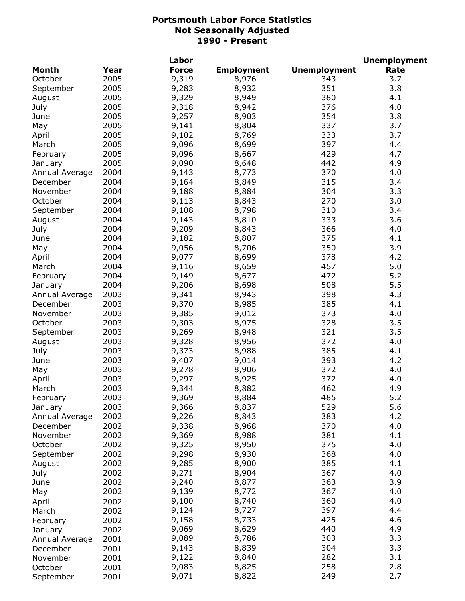|                     |              | Labor        |                   |                     | <b>Unemployment</b> |
|---------------------|--------------|--------------|-------------------|---------------------|---------------------|
| <b>Month</b>        | Year         | <b>Force</b> | <b>Employment</b> | <b>Unemployment</b> | Rate                |
| October             | 2005         | 9,319        | 8,976             | 343                 | 3.7                 |
| September           | 2005         | 9,283        | 8,932             | 351                 | 3.8                 |
| August              | 2005         | 9,329        | 8,949             | 380                 | 4.1                 |
| July                | 2005         | 9,318        | 8,942             | 376                 | 4.0                 |
| June                | 2005         | 9,257        | 8,903             | 354                 | 3.8                 |
| May                 | 2005         | 9,141        | 8,804             | 337                 | 3.7                 |
| April               | 2005         | 9,102        | 8,769             | 333                 | 3.7                 |
| March               | 2005         | 9,096        | 8,699             | 397                 | 4.4                 |
| February            | 2005         | 9,096        | 8,667             | 429                 | 4.7                 |
| January             | 2005         | 9,090        | 8,648             | 442                 | 4.9                 |
| Annual Average      | 2004         | 9,143        | 8,773             | 370                 | 4.0                 |
| December            | 2004         | 9,164        | 8,849             | 315                 | 3.4                 |
| November            | 2004         | 9,188        | 8,884             | 304                 | 3.3                 |
| October             | 2004         | 9,113        | 8,843             | 270                 | 3.0                 |
| September           | 2004         | 9,108        | 8,798             | 310                 | 3.4                 |
| August              | 2004         | 9,143        | 8,810             | 333                 | 3.6                 |
| July                | 2004         | 9,209        | 8,843             | 366                 | 4.0                 |
| June                | 2004         | 9,182        | 8,807             | 375                 | 4.1                 |
| May                 | 2004         | 9,056        | 8,706             | 350                 | 3.9                 |
| April               | 2004         | 9,077        | 8,699             | 378                 | 4.2                 |
| March               | 2004         | 9,116        | 8,659             | 457                 | 5.0                 |
| February            | 2004         | 9,149        | 8,677             | 472                 | 5.2                 |
| January             | 2004         | 9,206        | 8,698             | 508                 | 5.5                 |
| Annual Average      | 2003         | 9,341        | 8,943             | 398                 | 4.3                 |
| December            | 2003         | 9,370        | 8,985             | 385                 | 4.1                 |
| November            | 2003         | 9,385        | 9,012             | 373                 | 4.0                 |
| October             | 2003         | 9,303        | 8,975             | 328                 | 3.5                 |
| September           | 2003         | 9,269        | 8,948             | 321                 | 3.5                 |
| August              | 2003         | 9,328        | 8,956             | 372                 | 4.0                 |
| July                | 2003         | 9,373        | 8,988             | 385                 | 4.1                 |
| June                | 2003         | 9,407        | 9,014             | 393                 | 4.2                 |
| May                 | 2003         | 9,278        | 8,906             | 372                 | 4.0                 |
| April               | 2003         | 9,297        | 8,925             | 372                 | 4.0                 |
| March               | 2003         | 9,344        | 8,882             | 462                 | 4.9                 |
| February            | 2003         | 9,369        | 8,884             | 485                 | 5.2                 |
| January             | 2003         | 9,366        | 8,837             | 529                 | 5.6                 |
| Annual Average      | 2002         | 9,226        | 8,843             | 383                 | 4.2                 |
| December            | 2002         | 9,338        | 8,968             | 370                 | 4.0                 |
| November            | 2002         | 9,369        | 8,988             | 381                 | 4.1                 |
| October             | 2002         | 9,325        | 8,950             | 375                 | 4.0                 |
| September           | 2002         | 9,298        | 8,930             | 368                 | 4.0                 |
| August              | 2002         | 9,285        | 8,900             | 385                 | 4.1                 |
| July                | 2002         | 9,271        | 8,904             | 367                 | 4.0                 |
| June                | 2002         | 9,240        | 8,877             | 363                 | 3.9                 |
| May                 | 2002         | 9,139        | 8,772             | 367                 | 4.0                 |
|                     | 2002         | 9,100        | 8,740             | 360                 | 4.0                 |
| April               | 2002         | 9,124        | 8,727             | 397                 | 4.4                 |
| March               |              | 9,158        | 8,733             | 425                 | 4.6                 |
| February            | 2002<br>2002 | 9,069        | 8,629             | 440                 | 4.9                 |
| January             | 2001         | 9,089        | 8,786             | 303                 | 3.3                 |
| Annual Average      | 2001         | 9,143        | 8,839             | 304                 | 3.3                 |
| December            |              | 9,122        | 8,840             | 282                 | 3.1                 |
| November<br>October | 2001<br>2001 | 9,083        | 8,825             | 258                 | 2.8                 |
| September           | 2001         | 9,071        | 8,822             | 249                 | 2.7                 |
|                     |              |              |                   |                     |                     |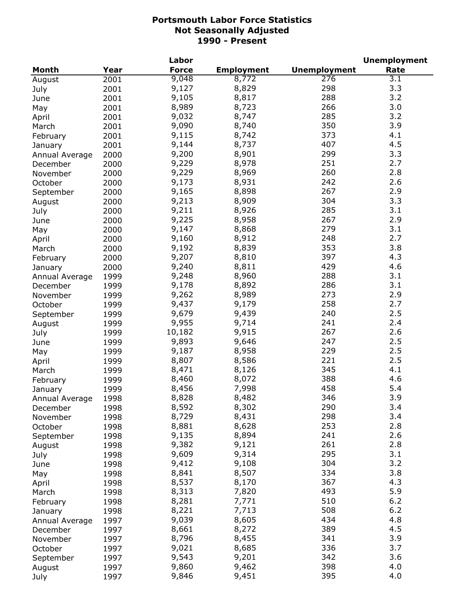|                |      | Labor        |                   |                     | <b>Unemployment</b> |
|----------------|------|--------------|-------------------|---------------------|---------------------|
| Month          | Year | <b>Force</b> | <b>Employment</b> | <b>Unemployment</b> | Rate                |
| August         | 2001 | 9,048        | 8,772             | 276                 | 3.1                 |
| July           | 2001 | 9,127        | 8,829             | 298                 | 3.3                 |
| June           | 2001 | 9,105        | 8,817             | 288                 | 3.2                 |
| May            | 2001 | 8,989        | 8,723             | 266                 | 3.0                 |
| April          | 2001 | 9,032        | 8,747             | 285                 | 3.2                 |
| March          | 2001 | 9,090        | 8,740             | 350                 | 3.9                 |
| February       | 2001 | 9,115        | 8,742             | 373                 | 4.1                 |
| January        | 2001 | 9,144        | 8,737             | 407                 | 4.5                 |
| Annual Average | 2000 | 9,200        | 8,901             | 299                 | 3.3                 |
| December       | 2000 | 9,229        | 8,978             | 251                 | 2.7                 |
| November       | 2000 | 9,229        | 8,969             | 260                 | 2.8                 |
| October        | 2000 | 9,173        | 8,931             | 242                 | 2.6                 |
| September      | 2000 | 9,165        | 8,898             | 267                 | 2.9                 |
| August         | 2000 | 9,213        | 8,909             | 304                 | 3.3                 |
| July           | 2000 | 9,211        | 8,926             | 285                 | 3.1                 |
| June           | 2000 | 9,225        | 8,958             | 267                 | 2.9                 |
|                | 2000 | 9,147        | 8,868             | 279                 | 3.1                 |
| May            |      | 9,160        | 8,912             | 248                 | 2.7                 |
| April          | 2000 | 9,192        | 8,839             | 353                 | 3.8                 |
| March          | 2000 |              |                   | 397                 | 4.3                 |
| February       | 2000 | 9,207        | 8,810             |                     |                     |
| January        | 2000 | 9,240        | 8,811             | 429                 | 4.6                 |
| Annual Average | 1999 | 9,248        | 8,960             | 288                 | 3.1                 |
| December       | 1999 | 9,178        | 8,892             | 286                 | 3.1                 |
| November       | 1999 | 9,262        | 8,989             | 273                 | 2.9                 |
| October        | 1999 | 9,437        | 9,179             | 258                 | 2.7                 |
| September      | 1999 | 9,679        | 9,439             | 240                 | 2.5                 |
| August         | 1999 | 9,955        | 9,714             | 241                 | 2.4                 |
| July           | 1999 | 10,182       | 9,915             | 267                 | 2.6                 |
| June           | 1999 | 9,893        | 9,646             | 247                 | 2.5                 |
| May            | 1999 | 9,187        | 8,958             | 229                 | 2.5                 |
| April          | 1999 | 8,807        | 8,586             | 221                 | 2.5                 |
| March          | 1999 | 8,471        | 8,126             | 345                 | 4.1                 |
| February       | 1999 | 8,460        | 8,072             | 388                 | 4.6                 |
| January        | 1999 | 8,456        | 7,998             | 458                 | 5.4                 |
| Annual Average | 1998 | 8,828        | 8,482             | 346                 | 3.9                 |
| December       | 1998 | 8,592        | 8,302             | 290                 | 3.4                 |
| November       | 1998 | 8,729        | 8,431             | 298                 | 3.4                 |
| October        | 1998 | 8,881        | 8,628             | 253                 | 2.8                 |
| September      | 1998 | 9,135        | 8,894             | 241                 | 2.6                 |
| August         | 1998 | 9,382        | 9,121             | 261                 | 2.8                 |
| July           | 1998 | 9,609        | 9,314             | 295                 | 3.1                 |
| June           | 1998 | 9,412        | 9,108             | 304                 | 3.2                 |
| May            | 1998 | 8,841        | 8,507             | 334                 | 3.8                 |
| April          | 1998 | 8,537        | 8,170             | 367                 | 4.3                 |
| March          | 1998 | 8,313        | 7,820             | 493                 | 5.9                 |
| February       | 1998 | 8,281        | 7,771             | 510                 | $6.2$               |
| January        | 1998 | 8,221        | 7,713             | 508                 | 6.2                 |
| Annual Average | 1997 | 9,039        | 8,605             | 434                 | 4.8                 |
| December       | 1997 | 8,661        | 8,272             | 389                 | 4.5                 |
| November       | 1997 | 8,796        | 8,455             | 341                 | 3.9                 |
| October        | 1997 | 9,021        | 8,685             | 336                 | 3.7                 |
| September      | 1997 | 9,543        | 9,201             | 342                 | 3.6                 |
| August         | 1997 | 9,860        | 9,462             | 398                 | 4.0                 |
| July           | 1997 | 9,846        | 9,451             | 395                 | 4.0                 |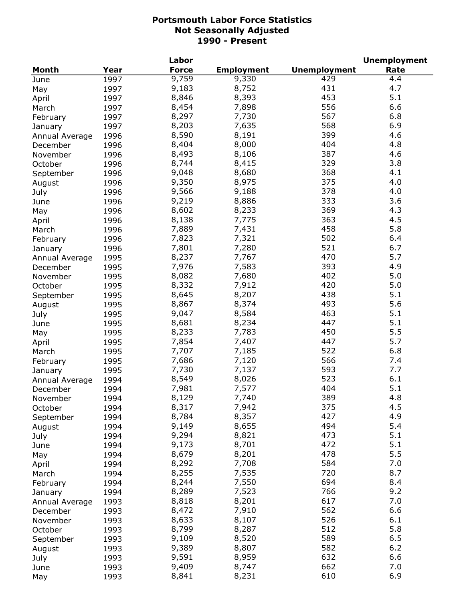|                |      | Labor        |                   |                     | <b>Unemployment</b> |
|----------------|------|--------------|-------------------|---------------------|---------------------|
| Month          | Year | <b>Force</b> | <b>Employment</b> | <b>Unemployment</b> | Rate                |
| June           | 1997 | 9,759        | 9,330             | 429                 | 4.4                 |
| May            | 1997 | 9,183        | 8,752             | 431                 | 4.7                 |
| April          | 1997 | 8,846        | 8,393             | 453                 | 5.1                 |
| March          | 1997 | 8,454        | 7,898             | 556                 | 6.6                 |
| February       | 1997 | 8,297        | 7,730             | 567                 | 6.8                 |
| January        | 1997 | 8,203        | 7,635             | 568                 | 6.9                 |
| Annual Average | 1996 | 8,590        | 8,191             | 399                 | 4.6                 |
| December       | 1996 | 8,404        | 8,000             | 404                 | 4.8                 |
| November       | 1996 | 8,493        | 8,106             | 387                 | 4.6                 |
| October        | 1996 | 8,744        | 8,415             | 329                 | 3.8                 |
| September      | 1996 | 9,048        | 8,680             | 368                 | 4.1                 |
| August         | 1996 | 9,350        | 8,975             | 375                 | 4.0                 |
|                | 1996 | 9,566        | 9,188             | 378                 | 4.0                 |
| July           |      | 9,219        | 8,886             | 333                 | 3.6                 |
| June           | 1996 | 8,602        |                   | 369                 | 4.3                 |
| May            | 1996 |              | 8,233             | 363                 | 4.5                 |
| April          | 1996 | 8,138        | 7,775             |                     |                     |
| March          | 1996 | 7,889        | 7,431             | 458                 | 5.8                 |
| February       | 1996 | 7,823        | 7,321             | 502                 | 6.4                 |
| January        | 1996 | 7,801        | 7,280             | 521                 | 6.7                 |
| Annual Average | 1995 | 8,237        | 7,767             | 470                 | 5.7                 |
| December       | 1995 | 7,976        | 7,583             | 393                 | 4.9                 |
| November       | 1995 | 8,082        | 7,680             | 402                 | 5.0                 |
| October        | 1995 | 8,332        | 7,912             | 420                 | 5.0                 |
| September      | 1995 | 8,645        | 8,207             | 438                 | 5.1                 |
| August         | 1995 | 8,867        | 8,374             | 493                 | 5.6                 |
| July           | 1995 | 9,047        | 8,584             | 463                 | 5.1                 |
| June           | 1995 | 8,681        | 8,234             | 447                 | 5.1                 |
| May            | 1995 | 8,233        | 7,783             | 450                 | 5.5                 |
| April          | 1995 | 7,854        | 7,407             | 447                 | 5.7                 |
| March          | 1995 | 7,707        | 7,185             | 522                 | 6.8                 |
| February       | 1995 | 7,686        | 7,120             | 566                 | 7.4                 |
| January        | 1995 | 7,730        | 7,137             | 593                 | 7.7                 |
| Annual Average | 1994 | 8,549        | 8,026             | 523                 | 6.1                 |
| December       | 1994 | 7,981        | 7,577             | 404                 | 5.1                 |
| November       | 1994 | 8,129        | 7,740             | 389                 | 4.8                 |
| October        | 1994 | 8,317        | 7,942             | 375                 | 4.5                 |
| September      | 1994 | 8,784        | 8,357             | 427                 | 4.9                 |
| August         | 1994 | 9,149        | 8,655             | 494                 | 5.4                 |
| July           | 1994 | 9,294        | 8,821             | 473                 | 5.1                 |
| June           | 1994 | 9,173        | 8,701             | 472                 | 5.1                 |
| May            | 1994 | 8,679        | 8,201             | 478                 | 5.5                 |
| April          | 1994 | 8,292        | 7,708             | 584                 | 7.0                 |
| March          | 1994 | 8,255        | 7,535             | 720                 | 8.7                 |
| February       | 1994 | 8,244        | 7,550             | 694                 | 8.4                 |
|                | 1994 | 8,289        | 7,523             | 766                 | 9.2                 |
| January        |      | 8,818        | 8,201             | 617                 | 7.0                 |
| Annual Average | 1993 | 8,472        | 7,910             | 562                 | 6.6                 |
| December       | 1993 |              |                   |                     |                     |
| November       | 1993 | 8,633        | 8,107             | 526                 | 6.1                 |
| October        | 1993 | 8,799        | 8,287             | 512                 | 5.8                 |
| September      | 1993 | 9,109        | 8,520             | 589                 | 6.5                 |
| August         | 1993 | 9,389        | 8,807             | 582                 | 6.2                 |
| July           | 1993 | 9,591        | 8,959             | 632                 | 6.6                 |
| June           | 1993 | 9,409        | 8,747             | 662                 | 7.0                 |
| May            | 1993 | 8,841        | 8,231             | 610                 | 6.9                 |